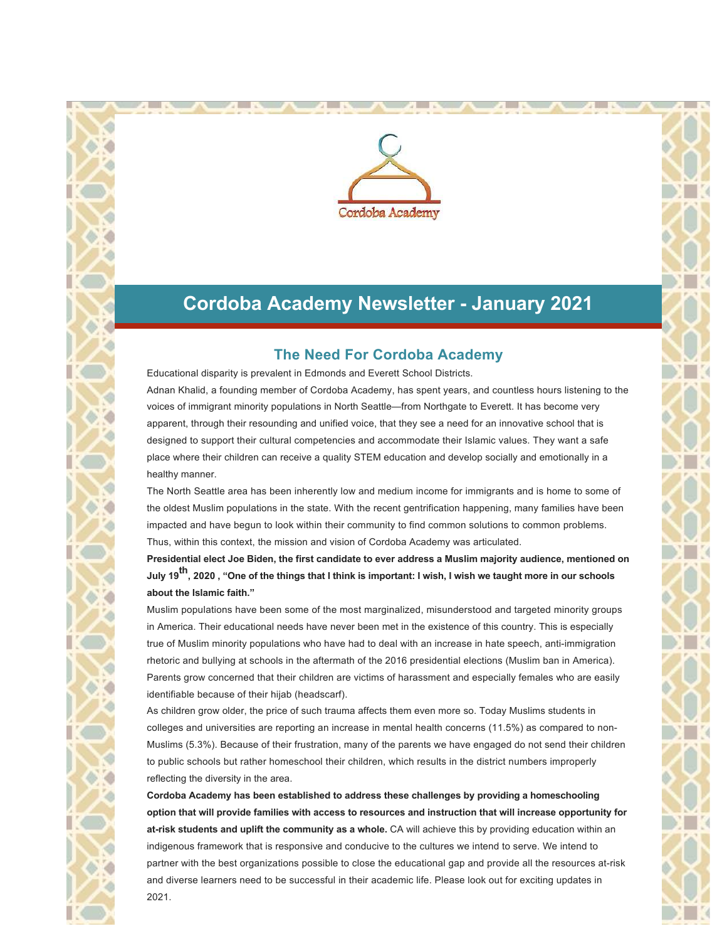

## **Cordoba Academy Newsletter - January 2021**

### **The Need For Cordoba Academy**

Educational disparity is prevalent in Edmonds and Everett School Districts. Adnan Khalid, a founding member of Cordoba Academy, has spent years, and countless hours listening to the voices of immigrant minority populations in North Seattle—from Northgate to Everett. It has become very apparent, through their resounding and unified voice, that they see a need for an innovative school that is designed to support their cultural competencies and accommodate their Islamic values. They want a safe place where their children can receive a quality STEM education and develop socially and emotionally in a healthy manner.

The North Seattle area has been inherently low and medium income for immigrants and is home to some of the oldest Muslim populations in the state. With the recent gentrification happening, many families have been impacted and have begun to look within their community to find common solutions to common problems. Thus, within this context, the mission and vision of Cordoba Academy was articulated.

**Presidential elect Joe Biden, the first candidate to ever address a Muslim majority audience, mentioned on July 19th, 2020 , "One of the things that I think is important: I wish, I wish we taught more in our schools about the Islamic faith."**

Muslim populations have been some of the most marginalized, misunderstood and targeted minority groups in America. Their educational needs have never been met in the existence of this country. This is especially true of Muslim minority populations who have had to deal with an increase in hate speech, anti-immigration rhetoric and bullying at schools in the aftermath of the 2016 presidential elections (Muslim ban in America). Parents grow concerned that their children are victims of harassment and especially females who are easily identifiable because of their hijab (headscarf).

As children grow older, the price of such trauma affects them even more so. Today Muslims students in colleges and universities are reporting an increase in mental health concerns (11.5%) as compared to non-Muslims (5.3%). Because of their frustration, many of the parents we have engaged do not send their children to public schools but rather homeschool their children, which results in the district numbers improperly reflecting the diversity in the area.

**Cordoba Academy has been established to address these challenges by providing a homeschooling option that will provide families with access to resources and instruction that will increase opportunity for at-risk students and uplift the community as a whole.** CA will achieve this by providing education within an indigenous framework that is responsive and conducive to the cultures we intend to serve. We intend to partner with the best organizations possible to close the educational gap and provide all the resources at-risk and diverse learners need to be successful in their academic life. Please look out for exciting updates in 2021.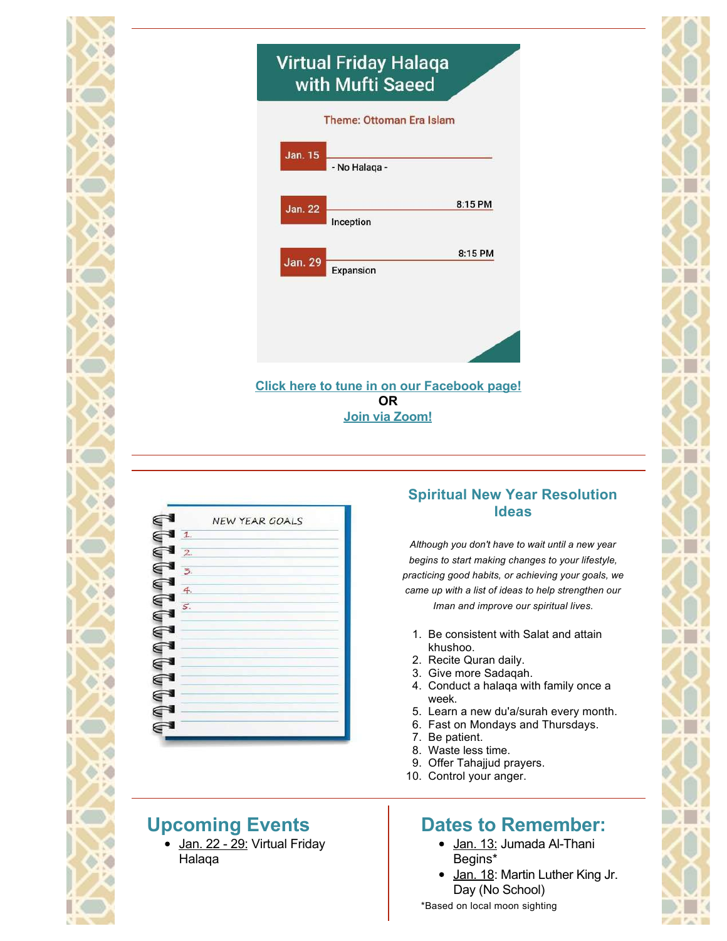# **Virtual Friday Halaqa** with Mufti Saeed

| Jan. 15        | - No Halaqa -                                      |         |
|----------------|----------------------------------------------------|---------|
| <b>Jan. 22</b> |                                                    | 8:15 PM |
|                | Inception                                          |         |
| Jan. 29        |                                                    | 8:15 PM |
|                | Expansion                                          |         |
|                |                                                    |         |
|                |                                                    |         |
|                |                                                    |         |
|                |                                                    |         |
|                | <b>Click here to tune in on our Facebook page!</b> |         |



## **Upcoming Events**

• Jan. 22 - 29: Virtual Friday Halaqa

### **Spiritual New Year Resolution Ideas**

*Although you don't have to wait until a new year begins to start making changes to your lifestyle, practicing good habits, or achieving your goals, we came up with a list of ideas to help strengthen our Iman and improve our spiritual lives.*

- 1. Be consistent with Salat and attain khushoo.
- 2. Recite Quran daily.
- 3. Give more Sadaqah.
- 4. Conduct a halaqa with family once a week.
- 5. Learn a new du'a/surah every month.
- 6. Fast on Mondays and Thursdays.
- 7. Be patient.
- 8. Waste less time.
- 9. Offer Tahajjud prayers.
- 10. Control your anger.

## **Dates to Remember:**

- Jan. 13: Jumada Al-Thani Begins\*
- Jan. 18: Martin Luther King Jr. Day (No School)